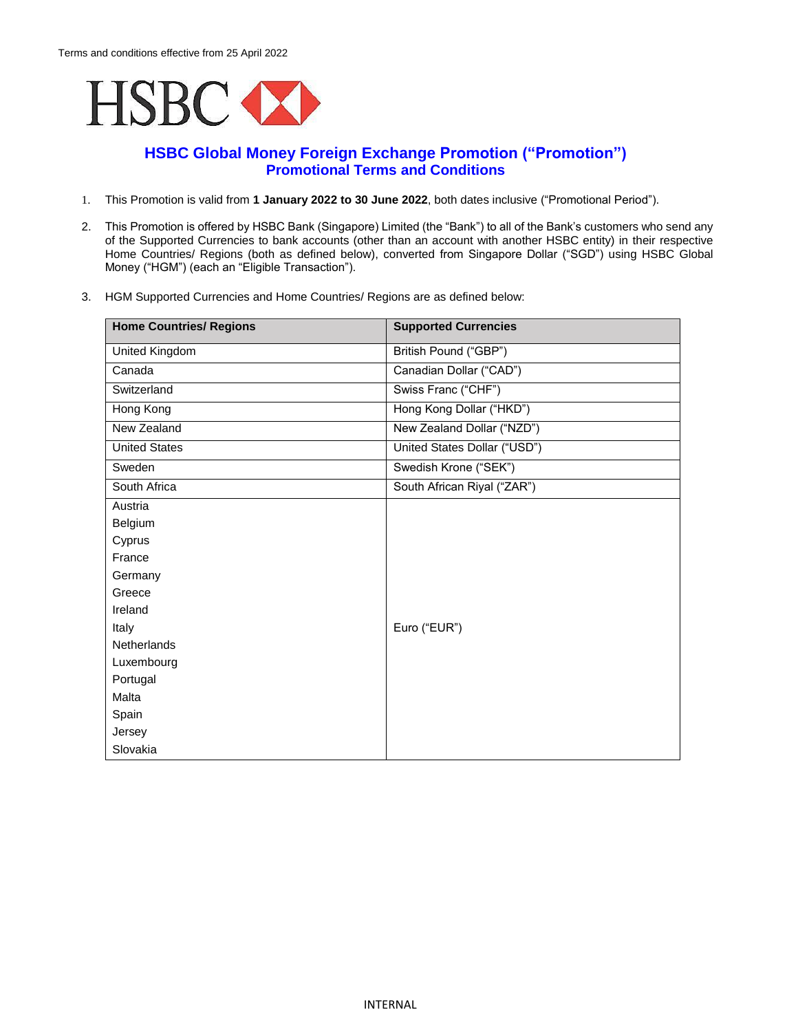## **HSBC**

## **HSBC Global Money Foreign Exchange Promotion ("Promotion") Promotional Terms and Conditions**

- 1. This Promotion is valid from **1 January 2022 to 30 June 2022**, both dates inclusive ("Promotional Period").
- 2. This Promotion is offered by HSBC Bank (Singapore) Limited (the "Bank") to all of the Bank's customers who send any of the Supported Currencies to bank accounts (other than an account with another HSBC entity) in their respective Home Countries/ Regions (both as defined below), converted from Singapore Dollar ("SGD") using HSBC Global Money ("HGM") (each an "Eligible Transaction").
- 3. HGM Supported Currencies and Home Countries/ Regions are as defined below:

| <b>Home Countries/ Regions</b> | <b>Supported Currencies</b>  |
|--------------------------------|------------------------------|
| United Kingdom                 | British Pound ("GBP")        |
| Canada                         | Canadian Dollar ("CAD")      |
| Switzerland                    | Swiss Franc ("CHF")          |
| Hong Kong                      | Hong Kong Dollar ("HKD")     |
| New Zealand                    | New Zealand Dollar ("NZD")   |
| <b>United States</b>           | United States Dollar ("USD") |
| Sweden                         | Swedish Krone ("SEK")        |
| South Africa                   | South African Riyal ("ZAR")  |
| Austria                        |                              |
| Belgium                        |                              |
| Cyprus                         |                              |
| France                         |                              |
| Germany                        |                              |
| Greece                         |                              |
| Ireland                        |                              |
| Italy                          | Euro ("EUR")                 |
| <b>Netherlands</b>             |                              |
| Luxembourg                     |                              |
| Portugal                       |                              |
| Malta                          |                              |
| Spain                          |                              |
| Jersey                         |                              |
| Slovakia                       |                              |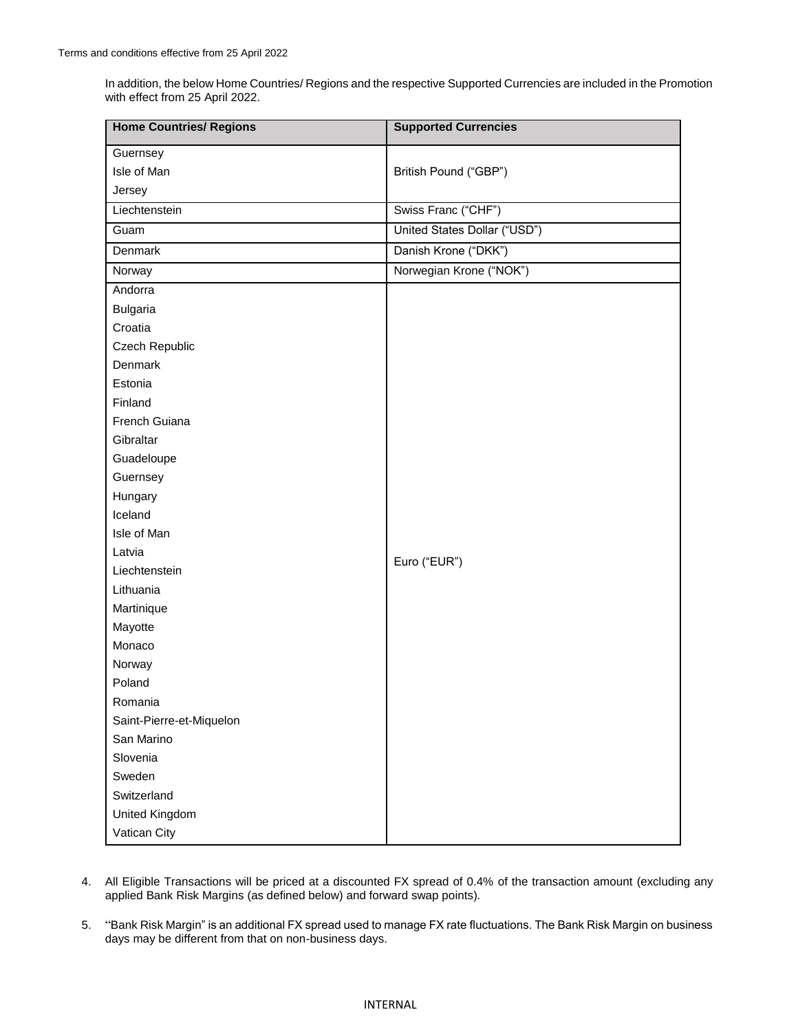In addition, the below Home Countries/ Regions and the respective Supported Currencies are included in the Promotion with effect from 25 April 2022.

| <b>Home Countries/ Regions</b> | <b>Supported Currencies</b>  |
|--------------------------------|------------------------------|
| Guernsey                       |                              |
| Isle of Man                    | British Pound ("GBP")        |
| Jersey                         |                              |
| Liechtenstein                  | Swiss Franc ("CHF")          |
| Guam                           | United States Dollar ("USD") |
| Denmark                        | Danish Krone ("DKK")         |
| Norway                         | Norwegian Krone ("NOK")      |
| Andorra                        |                              |
| Bulgaria                       |                              |
| Croatia                        |                              |
| Czech Republic                 |                              |
| Denmark                        |                              |
| Estonia                        |                              |
| Finland                        |                              |
| French Guiana                  |                              |
| Gibraltar                      |                              |
| Guadeloupe                     |                              |
| Guernsey                       |                              |
| Hungary                        | Euro ("EUR")                 |
| Iceland                        |                              |
| Isle of Man                    |                              |
| Latvia                         |                              |
| Liechtenstein                  |                              |
| Lithuania                      |                              |
| Martinique                     |                              |
| Mayotte                        |                              |
| Monaco                         |                              |
| Norway                         |                              |
| Poland                         |                              |
| Romania                        |                              |
| Saint-Pierre-et-Miquelon       |                              |
| San Marino                     |                              |
| Slovenia                       |                              |
| Sweden                         |                              |
| Switzerland                    |                              |
| United Kingdom                 |                              |
| Vatican City                   |                              |

- 4. All Eligible Transactions will be priced at a discounted FX spread of 0.4% of the transaction amount (excluding any applied Bank Risk Margins (as defined below) and forward swap points).
- 5. "Bank Risk Margin" is an additional FX spread used to manage FX rate fluctuations. The Bank Risk Margin on business days may be different from that on non-business days.